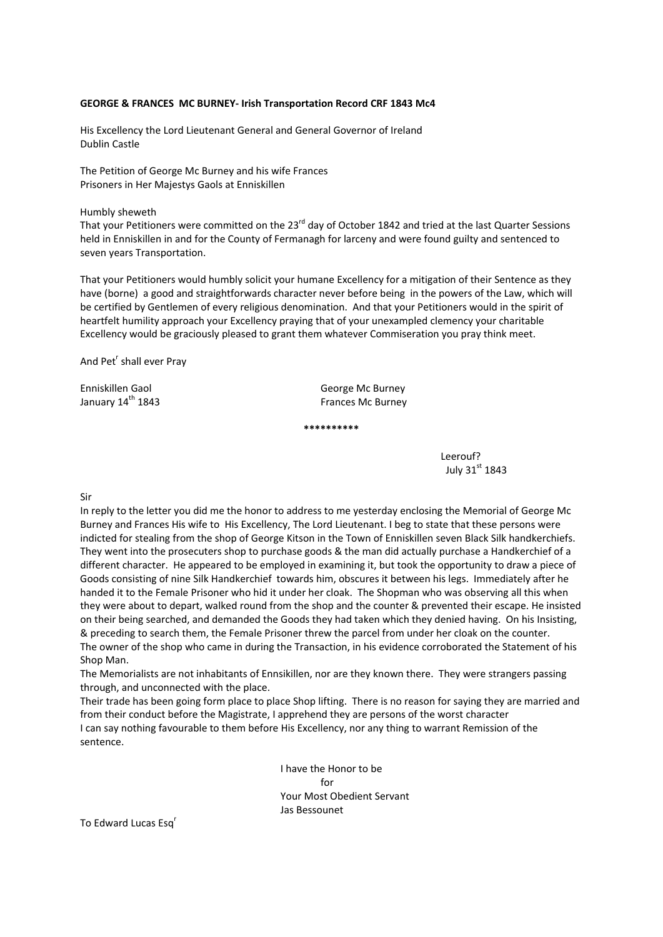## **GEORGE & FRANCES MC BURNEY‐ Irish Transportation Record CRF 1843 Mc4**

His Excellency the Lord Lieutenant General and General Governor of Ireland Dublin Castle

The Petition of George Mc Burney and his wife Frances Prisoners in Her Majestys Gaols at Enniskillen

Humbly sheweth

That your Petitioners were committed on the 23<sup>rd</sup> day of October 1842 and tried at the last Quarter Sessions held in Enniskillen in and for the County of Fermanagh for larceny and were found guilty and sentenced to seven years Transportation.

That your Petitioners would humbly solicit your humane Excellency for a mitigation of their Sentence as they have (borne) a good and straightforwards character never before being in the powers of the Law, which will be certified by Gentlemen of every religious denomination. And that your Petitioners would in the spirit of heartfelt humility approach your Excellency praying that of your unexampled clemency your charitable Excellency would be graciously pleased to grant them whatever Commiseration you pray think meet.

And Pet<sup>r</sup> shall ever Pray

Enniskillen Gaol **Ennischer George Mc Burney** January 14th 1843 Frances Mc Burney

**\*\*\*\*\*\*\*\*\*\***

 Leerouf? July 31st 1843

Sir

In reply to the letter you did me the honor to address to me yesterday enclosing the Memorial of George Mc Burney and Frances His wife to His Excellency, The Lord Lieutenant. I beg to state that these persons were indicted for stealing from the shop of George Kitson in the Town of Enniskillen seven Black Silk handkerchiefs. They went into the prosecuters shop to purchase goods & the man did actually purchase a Handkerchief of a different character. He appeared to be employed in examining it, but took the opportunity to draw a piece of Goods consisting of nine Silk Handkerchief towards him, obscures it between his legs. Immediately after he handed it to the Female Prisoner who hid it under her cloak. The Shopman who was observing all this when they were about to depart, walked round from the shop and the counter & prevented their escape. He insisted on their being searched, and demanded the Goods they had taken which they denied having. On his Insisting, & preceding to search them, the Female Prisoner threw the parcel from under her cloak on the counter. The owner of the shop who came in during the Transaction, in his evidence corroborated the Statement of his Shop Man.

The Memorialists are not inhabitants of Ennsikillen, nor are they known there. They were strangers passing through, and unconnected with the place.

Their trade has been going form place to place Shop lifting. There is no reason for saying they are married and from their conduct before the Magistrate, I apprehend they are persons of the worst character I can say nothing favourable to them before His Excellency, nor any thing to warrant Remission of the sentence.

 I have the Honor to be for the contract of the contract of the contract of the contract of the contract of the contract of the contract of the contract of the contract of the contract of the contract of the contract of the contract of the contra Your Most Obedient Servant Jas Bessounet

To Edward Lucas Esq<sup>r</sup>